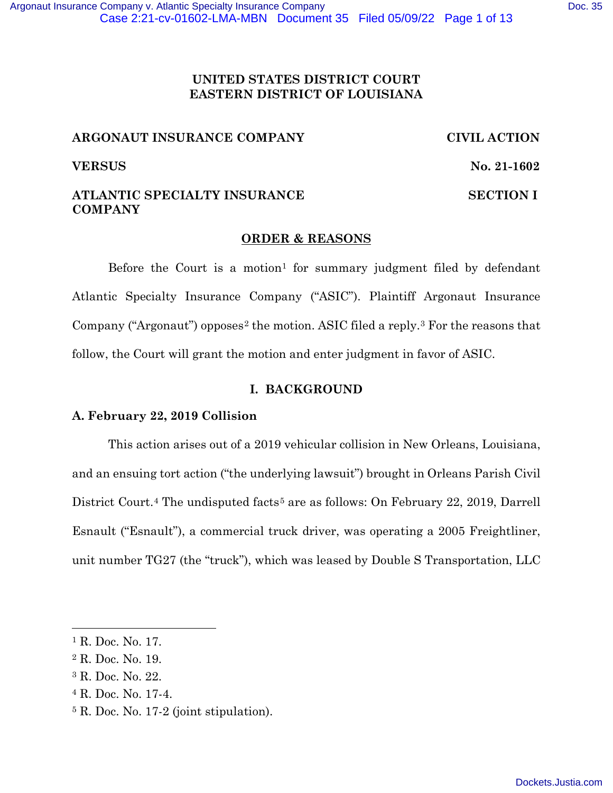## **UNITED STATES DISTRICT COURT EASTERN DISTRICT OF LOUISIANA**

## **ARGONAUT INSURANCE COMPANY CIVIL ACTION**

**VERSUS** No. 21-1602

## **ATLANTIC SPECIALTY INSURANCE SECTION I COMPANY**

# **ORDER & REASONS**

Before the Court is a motion<sup>1</sup> for summary judgment filed by defendant Atlantic Specialty Insurance Company ("ASIC"). Plaintiff Argonaut Insurance Company ("Argonaut") opposes<sup>2</sup> the motion. ASIC filed a reply.<sup>3</sup> For the reasons that follow, the Court will grant the motion and enter judgment in favor of ASIC.

# **I. BACKGROUND**

# **A. February 22, 2019 Collision**

This action arises out of a 2019 vehicular collision in New Orleans, Louisiana, and an ensuing tort action ("the underlying lawsuit") brought in Orleans Parish Civil District Court.<sup>4</sup> The undisputed facts<sup>5</sup> are as follows: On February 22, 2019, Darrell Esnault ("Esnault"), a commercial truck driver, was operating a 2005 Freightliner, unit number TG27 (the "truck"), which was leased by Double S Transportation, LLC

<sup>1</sup> R. Doc. No. 17.

<sup>2</sup> R. Doc. No. 19.

<sup>3</sup> R. Doc. No. 22.

<sup>4</sup> R. Doc. No. 17-4.

<sup>5</sup> R. Doc. No. 17-2 (joint stipulation).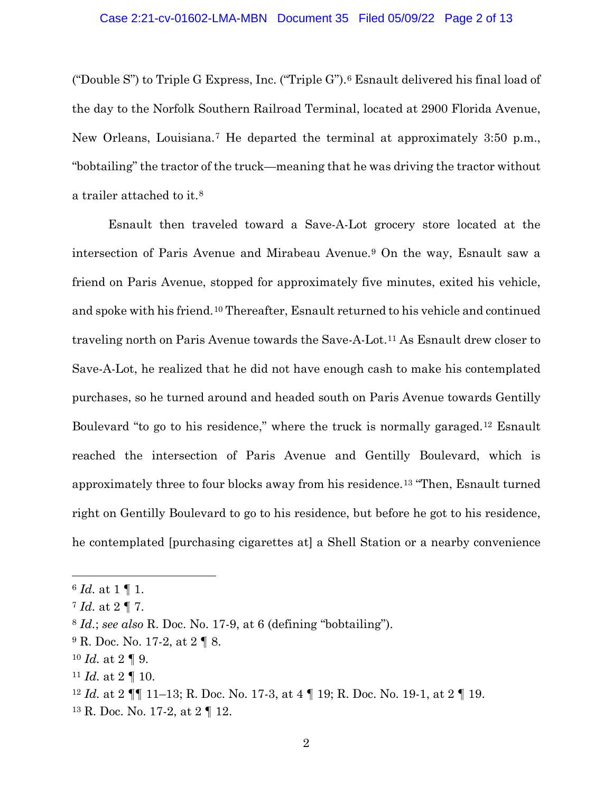("Double S") to Triple G Express, Inc. ("Triple G"). <sup>6</sup> Esnault delivered his final load of the day to the Norfolk Southern Railroad Terminal, located at 2900 Florida Avenue, New Orleans, Louisiana. <sup>7</sup> He departed the terminal at approximately 3:50 p.m., "bobtailing" the tractor of the truck—meaning that he was driving the tractor without a trailer attached to it.<sup>8</sup>

Esnault then traveled toward a Save-A-Lot grocery store located at the intersection of Paris Avenue and Mirabeau Avenue.<sup>9</sup> On the way, Esnault saw a friend on Paris Avenue, stopped for approximately five minutes, exited his vehicle, and spoke with his friend.<sup>10</sup> Thereafter, Esnault returned to his vehicle and continued traveling north on Paris Avenue towards the Save-A-Lot.<sup>11</sup> As Esnault drew closer to Save-A-Lot, he realized that he did not have enough cash to make his contemplated purchases, so he turned around and headed south on Paris Avenue towards Gentilly Boulevard "to go to his residence," where the truck is normally garaged. <sup>12</sup> Esnault reached the intersection of Paris Avenue and Gentilly Boulevard, which is approximately three to four blocks away from his residence.13 "Then, Esnault turned right on Gentilly Boulevard to go to his residence, but before he got to his residence, he contemplated [purchasing cigarettes at] a Shell Station or a nearby convenience

<sup>6</sup> *Id.* at 1 ¶ 1.

<sup>7</sup> *Id.* at 2 ¶ 7.

<sup>8</sup> *Id.*; *see also* R. Doc. No. 17-9, at 6 (defining "bobtailing").

 $^9$  R. Doc. No. 17-2, at 2  $\P$  8.

 $10$  *Id.* at  $2 \nparallel 9$ .

<sup>&</sup>lt;sup>11</sup> *Id.* at 2  $\P$  10.

<sup>12</sup> *Id.* at 2 ¶¶ 11–13; R. Doc. No. 17-3, at 4 ¶ 19; R. Doc. No. 19-1, at 2 ¶ 19.

<sup>13</sup> R. Doc. No. 17-2, at 2 ¶ 12.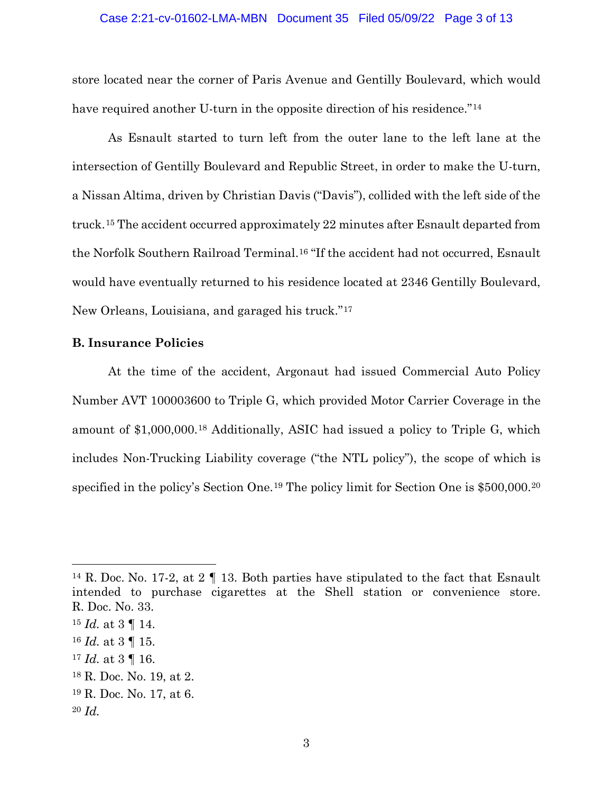#### Case 2:21-cv-01602-LMA-MBN Document 35 Filed 05/09/22 Page 3 of 13

store located near the corner of Paris Avenue and Gentilly Boulevard, which would have required another U-turn in the opposite direction of his residence."<sup>14</sup>

As Esnault started to turn left from the outer lane to the left lane at the intersection of Gentilly Boulevard and Republic Street, in order to make the U-turn, a Nissan Altima, driven by Christian Davis ("Davis"), collided with the left side of the truck.<sup>15</sup> The accident occurred approximately 22 minutes after Esnault departed from the Norfolk Southern Railroad Terminal. <sup>16</sup> "If the accident had not occurred, Esnault would have eventually returned to his residence located at 2346 Gentilly Boulevard, New Orleans, Louisiana, and garaged his truck." 17

### **B. Insurance Policies**

At the time of the accident, Argonaut had issued Commercial Auto Policy Number AVT 100003600 to Triple G, which provided Motor Carrier Coverage in the amount of \$1,000,000.<sup>18</sup> Additionally, ASIC had issued a policy to Triple G, which includes Non-Trucking Liability coverage ("the NTL policy"), the scope of which is specified in the policy's Section One. <sup>19</sup> The policy limit for Section One is \$500,000.<sup>20</sup>

<sup>14</sup> R. Doc. No. 17-2, at 2 ¶ 13. Both parties have stipulated to the fact that Esnault intended to purchase cigarettes at the Shell station or convenience store. R. Doc. No. 33.

<sup>15</sup> *Id.* at 3 ¶ 14.

<sup>16</sup> *Id.* at 3 ¶ 15.

<sup>17</sup> *Id.* at 3 ¶ 16.

<sup>18</sup> R. Doc. No. 19, at 2.

<sup>19</sup> R. Doc. No. 17, at 6.

<sup>20</sup> *Id.*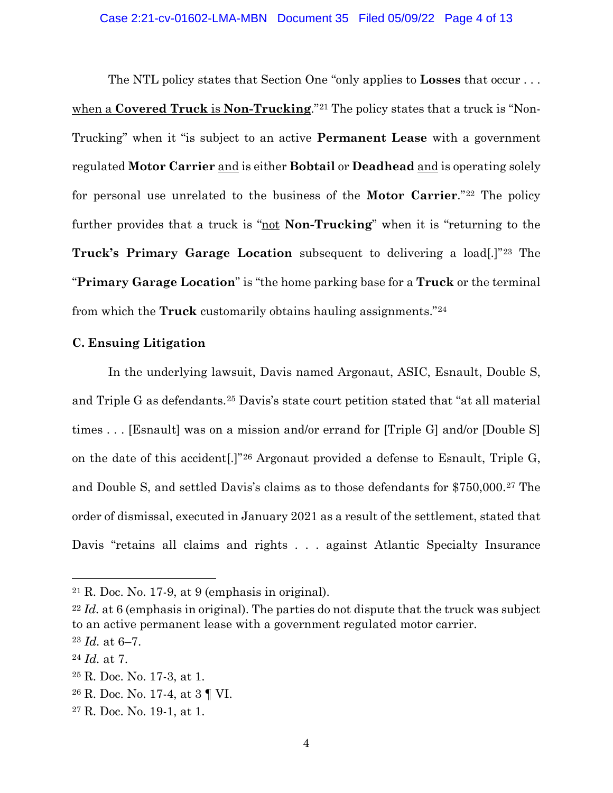The NTL policy states that Section One "only applies to **Losses** that occur . . . when a **Covered Truck** is **Non-Trucking**."<sup>21</sup> The policy states that a truck is "Non-Trucking" when it "is subject to an active **Permanent Lease** with a government regulated **Motor Carrier** and is either **Bobtail** or **Deadhead** and is operating solely for personal use unrelated to the business of the **Motor Carrier**."<sup>22</sup> The policy further provides that a truck is "not **Non-Trucking**" when it is "returning to the **Truck's Primary Garage Location** subsequent to delivering a load[.]"<sup>23</sup> The "**Primary Garage Location**" is "the home parking base for a **Truck** or the terminal from which the **Truck** customarily obtains hauling assignments." 24

#### **C. Ensuing Litigation**

In the underlying lawsuit, Davis named Argonaut, ASIC, Esnault, Double S, and Triple G as defendants.<sup>25</sup> Davis's state court petition stated that "at all material times . . . [Esnault] was on a mission and/or errand for [Triple G] and/or [Double S] on the date of this accident[.]" <sup>26</sup> Argonaut provided a defense to Esnault, Triple G, and Double S, and settled Davis's claims as to those defendants for \$750,000.<sup>27</sup> The order of dismissal, executed in January 2021 as a result of the settlement, stated that Davis "retains all claims and rights . . . against Atlantic Specialty Insurance

 $21$  R. Doc. No. 17-9, at 9 (emphasis in original).

<sup>22</sup> *Id.* at 6 (emphasis in original). The parties do not dispute that the truck was subject to an active permanent lease with a government regulated motor carrier.

<sup>23</sup> *Id.* at 6–7.

<sup>24</sup> *Id.* at 7.

<sup>25</sup> R. Doc. No. 17-3, at 1.

<sup>26</sup> R. Doc. No. 17-4, at 3 ¶ VI.

<sup>27</sup> R. Doc. No. 19-1, at 1.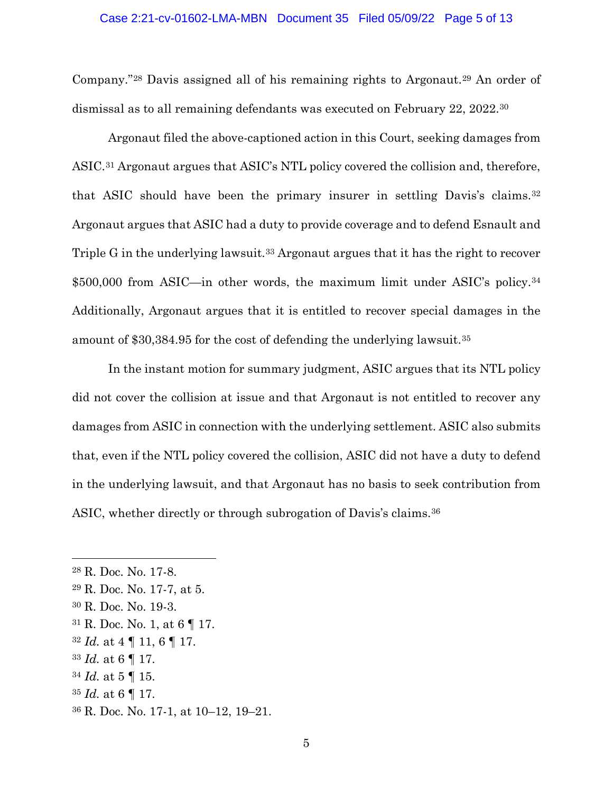#### Case 2:21-cv-01602-LMA-MBN Document 35 Filed 05/09/22 Page 5 of 13

Company."<sup>28</sup> Davis assigned all of his remaining rights to Argonaut.<sup>29</sup> An order of dismissal as to all remaining defendants was executed on February 22, 2022.<sup>30</sup>

Argonaut filed the above-captioned action in this Court, seeking damages from ASIC.<sup>31</sup> Argonaut argues that ASIC's NTL policy covered the collision and, therefore, that ASIC should have been the primary insurer in settling Davis's claims.<sup>32</sup> Argonaut argues that ASIC had a duty to provide coverage and to defend Esnault and Triple G in the underlying lawsuit.<sup>33</sup> Argonaut argues that it has the right to recover \$500,000 from ASIC—in other words, the maximum limit under ASIC's policy.<sup>34</sup> Additionally, Argonaut argues that it is entitled to recover special damages in the amount of \$30,384.95 for the cost of defending the underlying lawsuit. 35

In the instant motion for summary judgment, ASIC argues that its NTL policy did not cover the collision at issue and that Argonaut is not entitled to recover any damages from ASIC in connection with the underlying settlement. ASIC also submits that, even if the NTL policy covered the collision, ASIC did not have a duty to defend in the underlying lawsuit, and that Argonaut has no basis to seek contribution from ASIC, whether directly or through subrogation of Davis's claims. <sup>36</sup>

- <sup>30</sup> R. Doc. No. 19-3.
- <sup>31</sup> R. Doc. No. 1, at 6 ¶ 17.
- <sup>32</sup> *Id.* at 4 ¶ 11, 6 ¶ 17.
- <sup>33</sup> *Id.* at 6 ¶ 17.
- <sup>34</sup> *Id.* at 5 ¶ 15.
- <sup>35</sup> *Id.* at 6 ¶ 17.
- <sup>36</sup> R. Doc. No. 17-1, at 10–12, 19–21.

<sup>28</sup> R. Doc. No. 17-8.

<sup>29</sup> R. Doc. No. 17-7, at 5.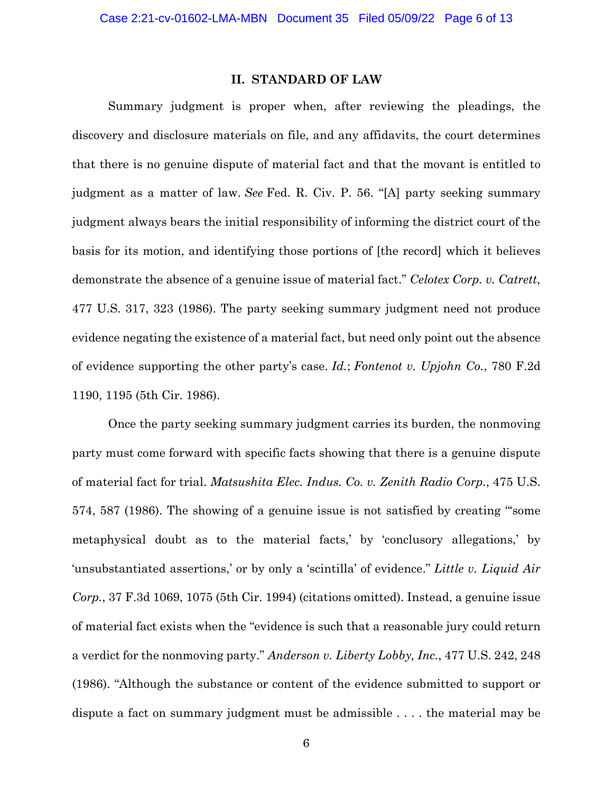#### **II. STANDARD OF LAW**

Summary judgment is proper when, after reviewing the pleadings, the discovery and disclosure materials on file, and any affidavits, the court determines that there is no genuine dispute of material fact and that the movant is entitled to judgment as a matter of law. *See* Fed. R. Civ. P. 56. "[A] party seeking summary judgment always bears the initial responsibility of informing the district court of the basis for its motion, and identifying those portions of [the record] which it believes demonstrate the absence of a genuine issue of material fact." *Celotex Corp. v. Catrett*, 477 U.S. 317, 323 (1986). The party seeking summary judgment need not produce evidence negating the existence of a material fact, but need only point out the absence of evidence supporting the other party's case. *Id.*; *Fontenot v. Upjohn Co.*, 780 F.2d 1190, 1195 (5th Cir. 1986).

Once the party seeking summary judgment carries its burden, the nonmoving party must come forward with specific facts showing that there is a genuine dispute of material fact for trial. *Matsushita Elec. Indus. Co. v. Zenith Radio Corp.*, 475 U.S. 574, 587 (1986). The showing of a genuine issue is not satisfied by creating "'some metaphysical doubt as to the material facts,' by 'conclusory allegations,' by 'unsubstantiated assertions,' or by only a 'scintilla' of evidence." *Little v. Liquid Air Corp.*, 37 F.3d 1069, 1075 (5th Cir. 1994) (citations omitted). Instead, a genuine issue of material fact exists when the "evidence is such that a reasonable jury could return a verdict for the nonmoving party." *Anderson v. Liberty Lobby, Inc.*, 477 U.S. 242, 248 (1986). "Although the substance or content of the evidence submitted to support or dispute a fact on summary judgment must be admissible . . . . the material may be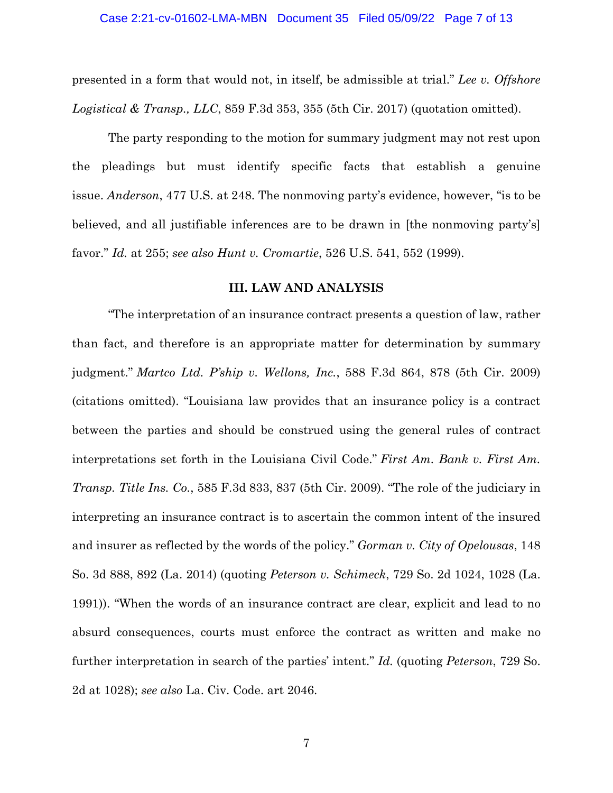presented in a form that would not, in itself, be admissible at trial." *Lee v. Offshore Logistical & Transp., LLC*, 859 F.3d 353, 355 (5th Cir. 2017) (quotation omitted).

The party responding to the motion for summary judgment may not rest upon the pleadings but must identify specific facts that establish a genuine issue. *Anderson*, 477 U.S. at 248. The nonmoving party's evidence, however, "is to be believed, and all justifiable inferences are to be drawn in [the nonmoving party's] favor." *Id.* at 255; *see also Hunt v. Cromartie*, 526 U.S. 541, 552 (1999).

## **III. LAW AND ANALYSIS**

"The interpretation of an insurance contract presents a question of law, rather than fact, and therefore is an appropriate matter for determination by summary judgment." *Martco Ltd. P'ship v. Wellons, Inc.*, 588 F.3d 864, 878 (5th Cir. 2009) (citations omitted). "Louisiana law provides that an insurance policy is a contract between the parties and should be construed using the general rules of contract interpretations set forth in the Louisiana Civil Code." *First Am. Bank v. First Am. Transp. Title Ins. Co.*, 585 F.3d 833, 837 (5th Cir. 2009). "The role of the judiciary in interpreting an insurance contract is to ascertain the common intent of the insured and insurer as reflected by the words of the policy." *Gorman v. City of Opelousas*, 148 So. 3d 888, 892 (La. 2014) (quoting *Peterson v. Schimeck*, 729 So. 2d 1024, 1028 (La. 1991)). "When the words of an insurance contract are clear, explicit and lead to no absurd consequences, courts must enforce the contract as written and make no further interpretation in search of the parties' intent." *Id.* (quoting *Peterson*, 729 So. 2d at 1028); *see also* La. Civ. Code. art 2046.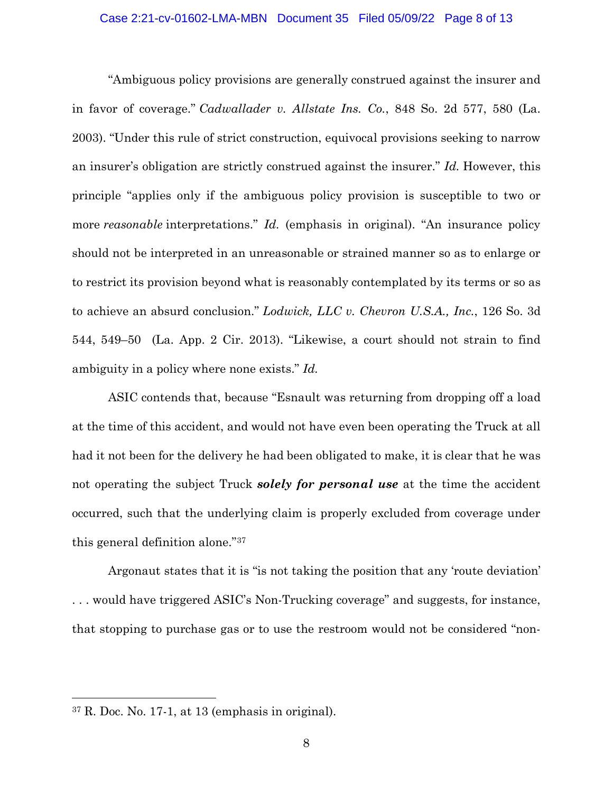#### Case 2:21-cv-01602-LMA-MBN Document 35 Filed 05/09/22 Page 8 of 13

"Ambiguous policy provisions are generally construed against the insurer and in favor of coverage." *Cadwallader v. Allstate Ins. Co.*, 848 So. 2d 577, 580 (La. 2003). "Under this rule of strict construction, equivocal provisions seeking to narrow an insurer's obligation are strictly construed against the insurer." *Id.* However, this principle "applies only if the ambiguous policy provision is susceptible to two or more *reasonable* interpretations." *Id.* (emphasis in original). "An insurance policy should not be interpreted in an unreasonable or strained manner so as to enlarge or to restrict its provision beyond what is reasonably contemplated by its terms or so as to achieve an absurd conclusion." *Lodwick, LLC v. Chevron U.S.A., Inc.*, 126 So. 3d 544, 549–50 (La. App. 2 Cir. 2013). "Likewise, a court should not strain to find ambiguity in a policy where none exists." *Id.*

ASIC contends that, because "Esnault was returning from dropping off a load at the time of this accident, and would not have even been operating the Truck at all had it not been for the delivery he had been obligated to make, it is clear that he was not operating the subject Truck *solely for personal use* at the time the accident occurred, such that the underlying claim is properly excluded from coverage under this general definition alone." 37

Argonaut states that it is "is not taking the position that any 'route deviation' . . . would have triggered ASIC's Non-Trucking coverage" and suggests, for instance, that stopping to purchase gas or to use the restroom would not be considered "non-

<sup>37</sup> R. Doc. No. 17-1, at 13 (emphasis in original).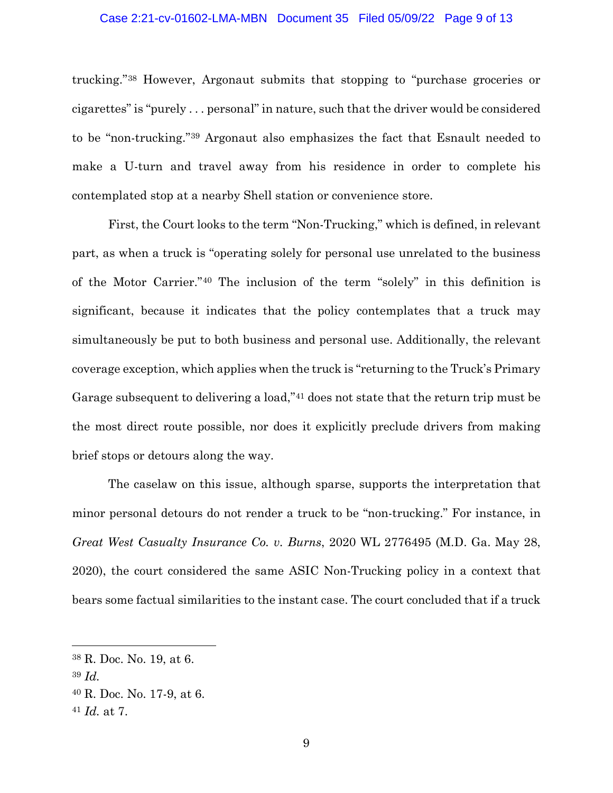#### Case 2:21-cv-01602-LMA-MBN Document 35 Filed 05/09/22 Page 9 of 13

trucking."<sup>38</sup> However, Argonaut submits that stopping to "purchase groceries or cigarettes" is "purely . . . personal" in nature, such that the driver would be considered to be "non-trucking."<sup>39</sup> Argonaut also emphasizes the fact that Esnault needed to make a U-turn and travel away from his residence in order to complete his contemplated stop at a nearby Shell station or convenience store.

First, the Court looks to the term "Non-Trucking," which is defined, in relevant part, as when a truck is "operating solely for personal use unrelated to the business of the Motor Carrier."40 The inclusion of the term "solely" in this definition is significant, because it indicates that the policy contemplates that a truck may simultaneously be put to both business and personal use. Additionally, the relevant coverage exception, which applies when the truck is "returning to the Truck's Primary Garage subsequent to delivering a load,"<sup>41</sup> does not state that the return trip must be the most direct route possible, nor does it explicitly preclude drivers from making brief stops or detours along the way.

The caselaw on this issue, although sparse, supports the interpretation that minor personal detours do not render a truck to be "non-trucking." For instance, in *Great West Casualty Insurance Co. v. Burns*, 2020 WL 2776495 (M.D. Ga. May 28, 2020), the court considered the same ASIC Non-Trucking policy in a context that bears some factual similarities to the instant case. The court concluded that if a truck

<sup>38</sup> R. Doc. No. 19, at 6.

<sup>39</sup> *Id.*

<sup>40</sup> R. Doc. No. 17-9, at 6.

<sup>41</sup> *Id.* at 7.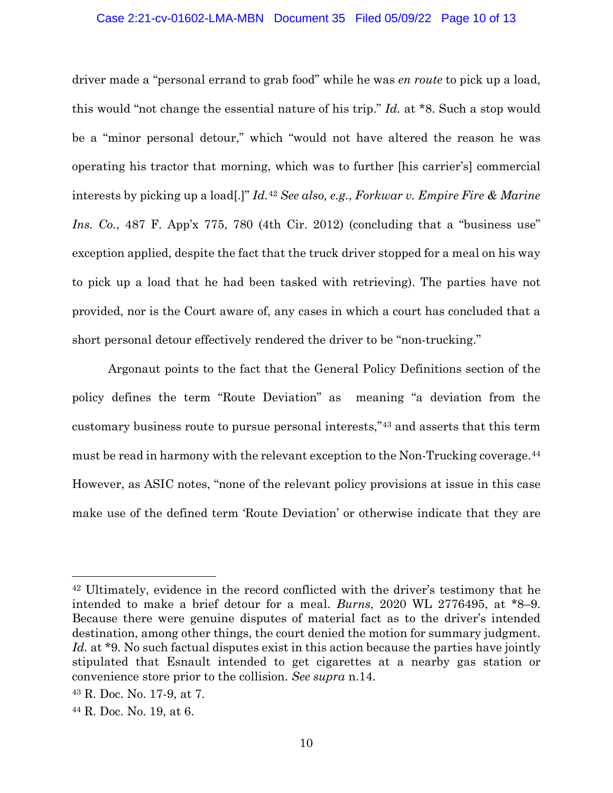#### Case 2:21-cv-01602-LMA-MBN Document 35 Filed 05/09/22 Page 10 of 13

driver made a "personal errand to grab food" while he was *en route* to pick up a load, this would "not change the essential nature of his trip." *Id.* at \*8. Such a stop would be a "minor personal detour," which "would not have altered the reason he was operating his tractor that morning, which was to further [his carrier's] commercial interests by picking up a load[.]" *Id.*<sup>42</sup> *See also, e.g.*, *Forkwar v. Empire Fire & Marine Ins. Co.*, 487 F. App'x 775, 780 (4th Cir. 2012) (concluding that a "business use" exception applied, despite the fact that the truck driver stopped for a meal on his way to pick up a load that he had been tasked with retrieving). The parties have not provided, nor is the Court aware of, any cases in which a court has concluded that a short personal detour effectively rendered the driver to be "non-trucking."

Argonaut points to the fact that the General Policy Definitions section of the policy defines the term "Route Deviation" as meaning "a deviation from the customary business route to pursue personal interests,"<sup>43</sup> and asserts that this term must be read in harmony with the relevant exception to the Non-Trucking coverage.<sup>44</sup> However, as ASIC notes, "none of the relevant policy provisions at issue in this case make use of the defined term 'Route Deviation' or otherwise indicate that they are

<sup>42</sup> Ultimately, evidence in the record conflicted with the driver's testimony that he intended to make a brief detour for a meal. *Burns*, 2020 WL 2776495, at \*8–9. Because there were genuine disputes of material fact as to the driver's intended destination, among other things, the court denied the motion for summary judgment. *Id.* at \*9. No such factual disputes exist in this action because the parties have jointly stipulated that Esnault intended to get cigarettes at a nearby gas station or convenience store prior to the collision. *See supra* n.14.

<sup>43</sup> R. Doc. No. 17-9, at 7.

<sup>44</sup> R. Doc. No. 19, at 6.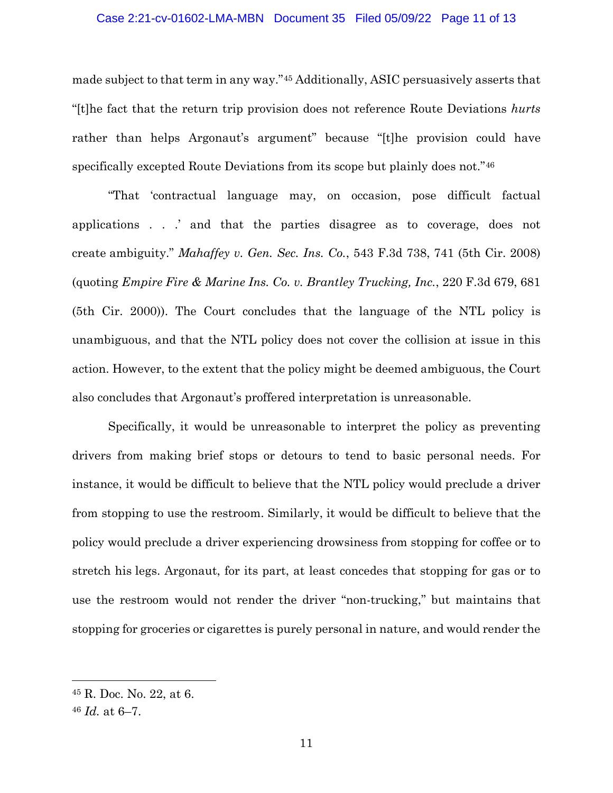#### Case 2:21-cv-01602-LMA-MBN Document 35 Filed 05/09/22 Page 11 of 13

made subject to that term in any way." <sup>45</sup> Additionally, ASIC persuasively asserts that "[t]he fact that the return trip provision does not reference Route Deviations *hurts*  rather than helps Argonaut's argument" because "[t]he provision could have specifically excepted Route Deviations from its scope but plainly does not." <sup>46</sup>

"That 'contractual language may, on occasion, pose difficult factual applications . . .' and that the parties disagree as to coverage, does not create ambiguity." *Mahaffey v. Gen. Sec. Ins. Co.*, 543 F.3d 738, 741 (5th Cir. 2008) (quoting *Empire Fire & Marine Ins. Co. v. Brantley Trucking, Inc.*, 220 F.3d 679, 681 (5th Cir. 2000)). The Court concludes that the language of the NTL policy is unambiguous, and that the NTL policy does not cover the collision at issue in this action. However, to the extent that the policy might be deemed ambiguous, the Court also concludes that Argonaut's proffered interpretation is unreasonable.

Specifically, it would be unreasonable to interpret the policy as preventing drivers from making brief stops or detours to tend to basic personal needs. For instance, it would be difficult to believe that the NTL policy would preclude a driver from stopping to use the restroom. Similarly, it would be difficult to believe that the policy would preclude a driver experiencing drowsiness from stopping for coffee or to stretch his legs. Argonaut, for its part, at least concedes that stopping for gas or to use the restroom would not render the driver "non-trucking," but maintains that stopping for groceries or cigarettes is purely personal in nature, and would render the

<sup>45</sup> R. Doc. No. 22, at 6.

<sup>46</sup> *Id.* at 6–7.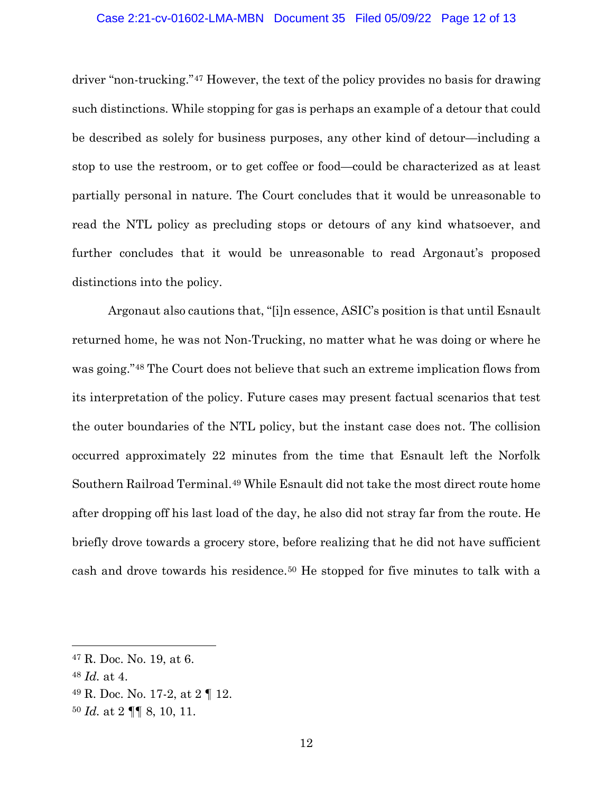#### Case 2:21-cv-01602-LMA-MBN Document 35 Filed 05/09/22 Page 12 of 13

driver "non-trucking."<sup>47</sup> However, the text of the policy provides no basis for drawing such distinctions. While stopping for gas is perhaps an example of a detour that could be described as solely for business purposes, any other kind of detour—including a stop to use the restroom, or to get coffee or food—could be characterized as at least partially personal in nature. The Court concludes that it would be unreasonable to read the NTL policy as precluding stops or detours of any kind whatsoever, and further concludes that it would be unreasonable to read Argonaut's proposed distinctions into the policy.

Argonaut also cautions that, "[i]n essence, ASIC's position is that until Esnault returned home, he was not Non-Trucking, no matter what he was doing or where he was going."<sup>48</sup> The Court does not believe that such an extreme implication flows from its interpretation of the policy. Future cases may present factual scenarios that test the outer boundaries of the NTL policy, but the instant case does not. The collision occurred approximately 22 minutes from the time that Esnault left the Norfolk Southern Railroad Terminal. <sup>49</sup> While Esnault did not take the most direct route home after dropping off his last load of the day, he also did not stray far from the route. He briefly drove towards a grocery store, before realizing that he did not have sufficient cash and drove towards his residence.<sup>50</sup> He stopped for five minutes to talk with a

<sup>47</sup> R. Doc. No. 19, at 6.

<sup>48</sup> *Id.* at 4.

<sup>49</sup> R. Doc. No. 17-2, at 2 ¶ 12.

<sup>50</sup> *Id.* at 2 ¶¶ 8, 10, 11.